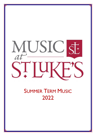# MUSIC  $\overline{\text{SE}}$

## **SUMMER TERM MUSIC** 2022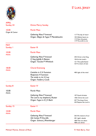

### S<sup>t</sup> LUKE, JERSEY

| <b>APRIL</b><br>Sunday 24 | <b>Divine Mercy Sunday</b>                                                                                  |                                                                                                |
|---------------------------|-------------------------------------------------------------------------------------------------------------|------------------------------------------------------------------------------------------------|
| 10.00<br>Organ & Cantor   | <b>Parish Mass</b>                                                                                          |                                                                                                |
|                           | <b>Gathering Mass P Inwood</b><br>Organ: Allegro & Fugue F Mendelssohn                                      | 117 The day of resurr<br>103 Alleluia hearts to<br>115 Now the green<br>119 The strife is o'er |
| <b>MAY</b><br>Sunday I    | <b>Easter III</b>                                                                                           |                                                                                                |
| 10.00<br><b>Adults</b>    | <b>Parish Mass</b>                                                                                          |                                                                                                |
|                           | <b>Gathering Mass P Inwood</b><br>O Sing Joyfully A Batten<br>Organ: Toccata P Whitlock                     | 345 Christ is the King<br>104 At the Lamb's<br>121 This joyful Easter<br>124 Ye choirs of new  |
| 18.00<br><b>Adults</b>    | <b>Choral Evensong</b>                                                                                      |                                                                                                |
|                           | Canticles in G H Sumsion<br><b>Responses H Sumsion</b><br>The stride is o'er H Ley<br>Organ: Fanfare J Cook | 400 Light of the mind                                                                          |
| Sunday 8                  | <b>Easter IV</b>                                                                                            |                                                                                                |
| 10.00<br>Adults           | <b>Parish Mass</b>                                                                                          |                                                                                                |
|                           | <b>Gathering Mass P Inwood</b><br>The Lord is my shepherd J Rutter<br>Organ: Fugue in D J S Bach            | 107 Good christian<br>105ii Christ the Lord<br>457 The king of love<br>443 Rejoice the Lord is |
| Sunday 15                 | Easter V                                                                                                    |                                                                                                |
| 10.00<br><b>Adults</b>    | <b>Parish Mass</b>                                                                                          |                                                                                                |
|                           | <b>Gathering Mass P Inwood</b><br>Ubi Caritas M Durufle<br>Organ: Scherzo J Rheinberger                     | 263 All creature of our<br>401 Light's abode<br>308 Thee we adore<br>408 Love divine           |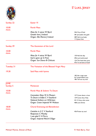

| SOMMAINS COMMUNIST                             |
|------------------------------------------------|
|                                                |
| <b>GROWING WITNESS</b><br><b>EROWING FAITH</b> |
| ST LUKE"                                       |
|                                                |

| $\sim$ $\sim$          |                                                                                    |                                                                                    |
|------------------------|------------------------------------------------------------------------------------|------------------------------------------------------------------------------------|
| Sunday 22              | <b>Easter VI</b>                                                                   |                                                                                    |
| 10.00                  | <b>Parish Mass</b>                                                                 |                                                                                    |
| <b>Adults</b>          | Mass for 4 voices W Byrd<br>Greater love J Ireland<br>Organ: Alla Marcia J Ireland | 346 City of God<br>381 Jerusalem the gold<br>289 Hail true body<br>112 Jesus lives |
| Sunday 29              | The Ascension of the Lord                                                          |                                                                                    |
| 10.00<br><b>Adults</b> | <b>Parish Mass</b>                                                                 |                                                                                    |
|                        | Mass for 4 voices W Byrd                                                           | 130 Hail the day                                                                   |
|                        | God is gone up G Finzi<br>Organ: Sun Dance B Chilcott                              | 296 Lord enthroned<br>134 The head that once                                       |
|                        |                                                                                    | 476 Ye servants of God                                                             |
| Tuesday 31             | The Visitation of the Blessed Virgin Mary                                          |                                                                                    |
| 19.30                  | Said Mass with hymns                                                               |                                                                                    |
|                        |                                                                                    | 182 Her virgin eyes<br>As I kneel before you<br>186 Tell out my soul               |
| <b>JUNE</b>            |                                                                                    |                                                                                    |
| Sunday 5               | Pentecost                                                                          |                                                                                    |
| 10.00<br><b>Adults</b> | Parish Mass & Solemn Te Deum                                                       |                                                                                    |
|                        | <b>Coronation Mass W A Mozart</b>                                                  | 137 Come down o love                                                               |
|                        | Te Deum in B-flat C V Stanford                                                     | 139 Come thou Holy                                                                 |
|                        | National Anthem arr B Britten                                                      | 431 O thou who came                                                                |
|                        | Organ: Crown Imperial W Walton                                                     | 408 Love Divine                                                                    |
| 18.00<br><b>Adults</b> | <b>Choral Evensong and Benediction</b>                                             |                                                                                    |
|                        | Canticles in G C V Stanford                                                        | 436 Praise my soul                                                                 |
|                        | Responses C Mawby                                                                  |                                                                                    |
|                        | I was glad C H Parry                                                               |                                                                                    |
|                        | Organ: Imperial March E Elgar                                                      |                                                                                    |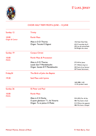

#### S<sup>t</sup> LUKE, JERSEY

#### CHOIR HALF TERM FROM 6 JUNE – 15 JUNE

| Sunday 12               | <b>Trinity</b>                                |                                                                                                |
|-------------------------|-----------------------------------------------|------------------------------------------------------------------------------------------------|
| 10.00<br>Organ & Cantor | <b>Parish Mass</b>                            |                                                                                                |
|                         | Mass in D D Thorne<br>Organ: Toccata E Gigout | 146 Holy Holy Holy<br>433 O worship the K<br>295 Let all mortal flesh<br>343 Bright the vision |
| Sunday 19               | <b>Corpus Christi</b>                         |                                                                                                |
| 10.00<br><b>Adults</b>  | <b>Parish Mass &amp; Procession</b>           |                                                                                                |
|                         | Mass in D D Thorne                            | 272 All for Jesus                                                                              |
|                         | Lauda Sion F Mendelssohn                      | 271 Alleluia sing to J                                                                         |
|                         | Organ: Sonata III F Mendelssohn               | 305 Soul of my Saviour<br>307 Sweet Sacrament                                                  |
| Friday24                | The Birth of John the Baptist                 |                                                                                                |
| 19.30                   | Said Mass with hymns                          |                                                                                                |
|                         |                                               | 168 (288) 1,4,8<br>12 On Jordan's bank                                                         |
| Sunday 26               | <b>SS Peter and Paul</b>                      |                                                                                                |
| 10.00<br><b>Adults</b>  | <b>Parish Mass</b>                            |                                                                                                |
|                         | Mass in E H Darke                             | 224 (452) For all thy                                                                          |
|                         | O quam gloriosum T L da Victoria              | 485 Thy hand o God                                                                             |
|                         | Organ: Tu es petrus H Mulet                   | 312 Where the appoint<br>486 We have a Gospel                                                  |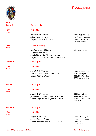

|                       | SONNE COMMUNITY        |
|-----------------------|------------------------|
|                       |                        |
| <b>EXPONING FAITH</b> | <b>GROWING WITNESS</b> |
|                       |                        |
|                       | <b>ST LUKE</b>         |

| <b>JULY</b><br>Sunday 3 | <b>Ordinary XIV</b>                                                                                                                  |                                                                                                      |
|-------------------------|--------------------------------------------------------------------------------------------------------------------------------------|------------------------------------------------------------------------------------------------------|
| 10.00<br><b>Adults</b>  | <b>Parish Mass</b>                                                                                                                   |                                                                                                      |
|                         | Mass in D D Thorne<br>Σώμα Χριστού T Zes<br>Organ: Marche A Guilmant                                                                 | 418 $\circ$ happy band $(-*)$<br>461 There's a wideness<br>239 Lord of all hope<br>391 King of glory |
| 18.00<br><b>Adults</b>  | <b>Choral Evensong</b>                                                                                                               |                                                                                                      |
|                         | Canticles in Eb - H Brewer<br>Responses H Clucas<br>I waited for the Lord F Mendelssohn<br>Organ: Psalm Prelude 1, set 1 H N Howells | 331 Abide with me                                                                                    |
| Sunday 10               | <b>Ordinary XV</b>                                                                                                                   |                                                                                                      |
| 10.00<br><b>Adults</b>  | <b>Parish Mass</b>                                                                                                                   |                                                                                                      |
|                         | Mass in D D Thorne<br>Christe, adoramus te C Monteverdi<br>Organ: Toccata E Gigout                                                   | 494 t413 Christ is the<br>427 O Praise ye the L<br>314 t.309 With solemn<br>377 Immortal invisible   |
| Sunday 17               | <b>Ordinary XVI</b>                                                                                                                  |                                                                                                      |
| 10.00<br><b>Adults</b>  | <b>Parish Mass</b>                                                                                                                   |                                                                                                      |
|                         | Mass in D D Thorne<br>Jesu the very thought of thee E Bairstow<br>Organ: Fugue on the Magnificat J S Bach                            | 388 Jesus shall reign<br>436 Praise my soul<br>277 Bread of the world<br>358 ii Father of heaven     |
| Sunday 24               | <b>Ordinary XVII</b>                                                                                                                 |                                                                                                      |
| 10.00<br><b>Adults</b>  | <b>Parish Mass</b>                                                                                                                   |                                                                                                      |
|                         | Mass in D D Thorne<br>Anima Christi M Frisina<br>Organ: Trumpet Tune in D D Johnson                                                  | 456 Teach me my God<br>258 O Christ the same<br>342 Breathe on me<br>285 For the beauty              |